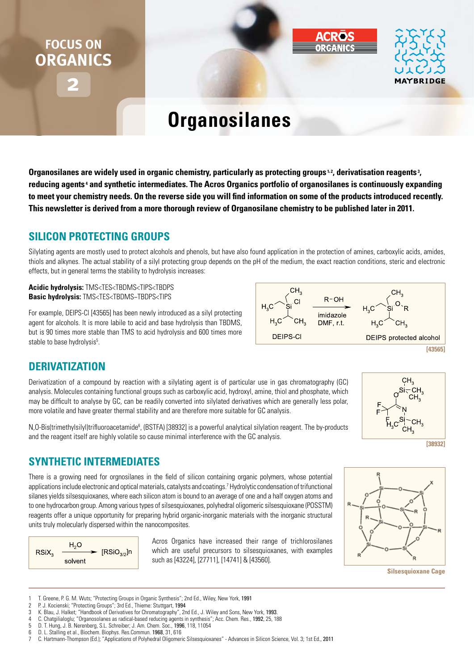# **2 FOCUS ON ORGANICS**



# **Organosilanes**

Organosilanes are widely used in organic chemistry, particularly as protecting groups<sup>1,2</sup>, derivatisation reagents<sup>3</sup>, reducing agents<sup>4</sup> and synthetic intermediates. The Acros Organics portfolio of organosilanes is continuously expanding **to meet your chemistry needs. On the reverse side you will find information on some of the products introduced recently. This newsletter is derived from a more thorough review of Organosilane chemistry to be published later in 2011.**

# **Silicon Protecting groups**

Silylating agents are mostly used to protect alcohols and phenols, but have also found application in the protection of amines, carboxylic acids, amides, thiols and alkynes. The actual stability of a silyl protecting group depends on the pH of the medium, the exact reaction conditions, steric and electronic effects, but in general terms the stability to hydrolysis increases:

**Acidic hydrolysis:** TMS<TES<TBDMS<TIPS<TBDPS **Basic hydrolysis:** TMS<TES<TBDMS~TBDPS<TIPS

For example, DEIPS-Cl [43565] has been newly introduced as a silyl protecting agent for alcohols. It is more labile to acid and base hydrolysis than TBDMS, but is 90 times more stable than TMS to acid hydrolysis and 600 times more stable to base hydrolysis<sup>5</sup>.



# **Derivatization**

Derivatization of a compound by reaction with a silylating agent is of particular use in gas chromatography (GC) analysis. Molecules containing functional groups such as carboxylic acid, hydroxyl, amine, thiol and phosphate, which may be difficult to analyse by GC, can be readily converted into silylated derivatives which are generally less polar, more volatile and have greater thermal stability and are therefore more suitable for GC analysis.

N,O-Bis(trimethylsilyl)trifluoroacetamide<sup>6</sup>, (BSTFA) [38932] is a powerful analytical silylation reagent. The by-products and the reagent itself are highly volatile so cause minimal interference with the GC analysis.

# **Synthetic Intermediates**

There is a growing need for orgnosilanes in the field of silicon containing organic polymers, whose potential applications include electronic and optical materials, catalysts and coatings.7 Hydrolytic condensation of trifunctional silanes yields silsesquioxanes, where each silicon atom is bound to an average of one and a half oxygen atoms and to one hydrocarbon group. Among various types of silsesquioxanes, polyhedral oligomeric silsesquioxane (POSSTM) reagents offer a unique opportunity for preparing hybrid organic-inorganic materials with the inorganic structural units truly molecularly dispersed within the nanocomposites.



Acros Organics have increased their range of trichlorosilanes which are useful precursors to silsesquioxanes, with examples such as [43224], [27711], [14741] & [43560].



**[38932]**



**Silsesquioxane Cage**

- 1 T. Greene, P. G. M. Wuts; "Protecting Groups in Organic Synthesis"; 2nd Ed., Wiley, New York, 1991<br>2 P.J. Kocienski: "Protecting Groups": 3rd Ed. Thieme: Stuttgart 1994
- 2 P. J. Kocienski; "Protecting Groups"; 3rd Ed., Thieme: Stuttgart, 1994
- 3 K. Blau, J. Halket; "Handbook of Derivatives for Chromatography", 2nd Ed., J. Wiley and Sons, New York, 1993.
- 4 C. Chatgilialoglu; "Organosolanes as radical-based reducing agents in synthesis"; Acc. Chem. Res., 1992, 25, 188<br>5 D. T. Hung. J. B. Nerenberg. S.L. Schreiber: J. Am. Chem. Soc., 1996, 118, 11054
- 5 D. T. Hung, J. B. Nerenberg, S.L. Schreiber; J. Am. Chem. Soc., 1996, 118, 11054
- 6 D. L. Stalling et al., Biochem. Biophys. Res.Commun. 1968, 31, 616
- 7 C. Hartmann-Thompson (Ed.); "Applications of Polyhedral Oligomeric Silsesquioxanes" Advances in Silicon Science, Vol. 3; 1st Ed., 2011